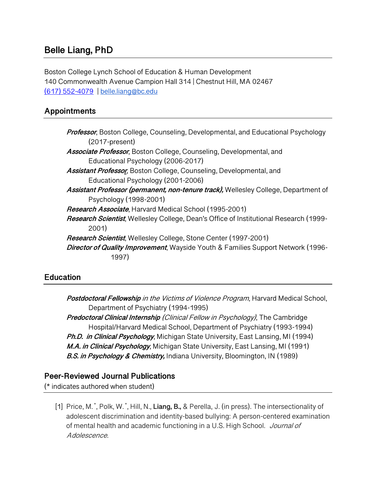# **Belle Liang, PhD**

Boston College Lynch School of Education & Human Development 140 Commonwealth Avenue Campion Hall 314 | Chestnut Hill, MA 02467 (617) 552-4079 | belle.liang@bc.edu

## **Appointments**

| Professor, Boston College, Counseling, Developmental, and Educational Psychology<br>$(2017-present)$ |
|------------------------------------------------------------------------------------------------------|
| <b>Associate Professor</b> , Boston College, Counseling, Developmental, and                          |
| Educational Psychology (2006-2017)                                                                   |
| <b>Assistant Professor</b> , Boston College, Counseling, Developmental, and                          |
| Educational Psychology (2001-2006)                                                                   |
| Assistant Professor (permanent, non-tenure track), Wellesley College, Department of                  |
| Psychology (1998-2001)                                                                               |
| <b>Research Associate</b> , Harvard Medical School (1995-2001)                                       |
| Research Scientist, Wellesley College, Dean's Office of Institutional Research (1999-                |
| 2001)                                                                                                |
| <b>Research Scientist, Wellesley College, Stone Center (1997-2001)</b>                               |
| Director of Quality Improvement, Wayside Youth & Families Support Network (1996-                     |
| 1997)                                                                                                |
|                                                                                                      |

## **Education**

**Postdoctoral Fellowship** in the Victims of Violence Program, Harvard Medical School, Department of Psychiatry (1994-1995) **Predoctoral Clinical Internship** (Clinical Fellow in Psychology), The Cambridge Hospital/Harvard Medical School, Department of Psychiatry (1993-1994) **Ph.D. in Clinical Psychology**, Michigan State University, East Lansing, MI (1994) **M.A. in Clinical Psychology**, Michigan State University, East Lansing, MI (1991) **B.S. in Psychology & Chemistry,** Indiana University, Bloomington, IN (1989)

#### **Peer-Reviewed Journal Publications**

(\* indicates authored when student)

[1] Price, M. \* , Polk, W. \* , Hill, N., **Liang, B.,** & Perella, J. (in press). The intersectionality of adolescent discrimination and identity-based bullying: A person-centered examination of mental health and academic functioning in a U.S. High School. Journal of Adolescence.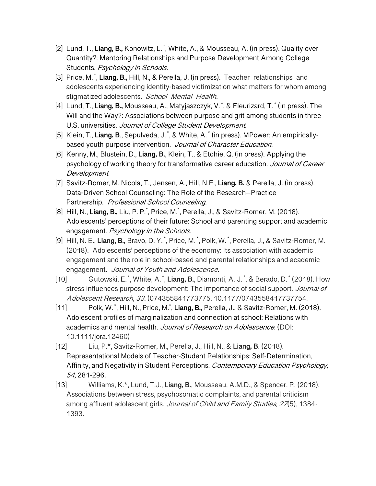- [2] Lund, T., **Liang, B.,** Konowitz, L. \* , White, A., & Mousseau, A. (in press). Quality over Quantity?: Mentoring Relationships and Purpose Development Among College Students. Psychology in Schools.
- [3] Price, M. \* , **Liang, B.,** Hill, N., & Perella, J. (in press). Teacher relationships and adolescents experiencing identity-based victimization what matters for whom among stigmatized adolescents. School Mental Health.
- [4] Lund, T., **Liang, B.,** Mousseau, A., Matyjaszczyk, V. \* , & Fleurizard, T. \* (in press). The Will and the Way?: Associations between purpose and grit among students in three U.S. universities. Journal of College Student Development.
- [5] Klein, T., **Liang, B**., Sepulveda, J. \* , & White, A. \* (in press). MPower: An empiricallybased youth purpose intervention. Journal of Character Education.
- [6] Kenny, M., Blustein, D., **Liang, B.**, Klein, T., & Etchie, Q. (in press). Applying the psychology of working theory for transformative career education. Journal of Career Development.
- [7] Savitz-Romer, M. Nicola, T., Jensen, A., Hill, N.E., **Liang, B.** & Perella, J. (in press). Data-Driven School Counseling: The Role of the Research–Practice Partnership. Professional School Counseling.
- [8] Hill, N., **Liang, B.,** Liu, P. P.\*, Price, M.\*, Perella, J., & Savitz-Romer, M. (2018). Adolescents' perceptions of their future: School and parenting support and academic engagement. Psychology in the Schools.
- [9] Hill, N. E., **Liang, B.,** Bravo, D. Y. \*, Price, M. \*, Polk, W. \*, Perella, J., & Savitz-Romer, M. (2018). Adolescents' perceptions of the economy: Its association with academic engagement and the role in school-based and parental relationships and academic engagement. Journal of Youth and Adolescence.
- [10] Gutowski, E.<sup>\*</sup>, White, A.<sup>\*</sup>, **Liang, B.**, Diamonti, A. J.<sup>\*</sup>, & Berado, D.<sup>\*</sup> (2018). How stress influences purpose development: The importance of social support. Journal of Adolescent Research, 33. (074355841773775. 10.1177/0743558417737754.
- [11] Polk, W. \* , Hill, N., Price, M.\* , **Liang, B.,** Perella, J., & Savitz-Romer, M. (2018). Adolescent profiles of marginalization and connection at school: Relations with academics and mental health. Journal of Research on Adolescence. (DOI: 10.1111/jora.12460)
- [12] Liu, P.\*, Savitz-Romer, M., Perella, J., Hill, N., & **Liang, B**. (2018). Representational Models of Teacher-Student Relationships: Self-Determination, Affinity, and Negativity in Student Perceptions. Contemporary Education Psychology, 54, 281-296.
- [13] Williams, K.\*, Lund, T.J., **Liang, B.**, Mousseau, A.M.D., & Spencer, R. (2018). Associations between stress, psychosomatic complaints, and parental criticism among affluent adolescent girls. Journal of Child and Family Studies, 27(5), 1384-1393.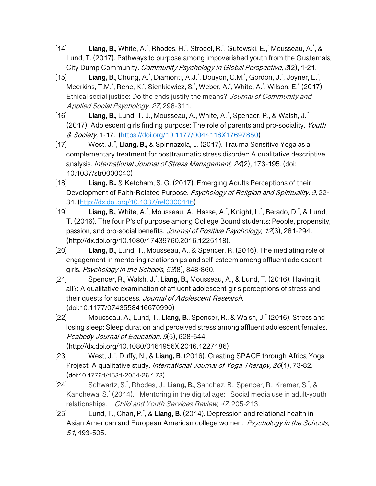[14] **Liang, B.,** White, A.<sup>\*</sup>, Rhodes, H.<sup>\*</sup>, Strodel, R.<sup>\*</sup>, Gutowski, E.,<sup>\*</sup> Mousseau, A.<sup>\*</sup>, & Lund, T. (2017). Pathways to purpose among impoverished youth from the Guatemala City Dump Community. Community Psychology in Global Perspective, 3(2), 1-21.

- [15] **Liang, B.**, Chung, A.<sup>\*</sup>, Diamonti, A.J.<sup>\*</sup>, Douyon, C.M.<sup>\*</sup>, Gordon, J.<sup>\*</sup>, Joyner, E.<sup>\*</sup>, Meerkins, T.M.\*, Rene, K.\*, Sienkiewicz, S.\*, Weber, A.\*, White, A.\*, Wilson, E.\* (2017). Ethical social justice: Do the ends justify the means? Journal of Community and Applied Social Psychology, 27, 298-311.
- [16] **Liang, B.,** Lund, T. J., Mousseau, A., White, A. \* , Spencer, R., & Walsh, J. \* (2017). Adolescent girls finding purpose: The role of parents and pro-sociality. Youth & Society, 1-17. (https://doi.org/10.1177/0044118X17697850)
- [17] West, J. \* , **Liang, B.,** & Spinnazola, J. (2017). Trauma Sensitive Yoga as a complementary treatment for posttraumatic stress disorder: A qualitative descriptive analysis. International Journal of Stress Management, 24(2), 173-195. (doi: 10.1037/str0000040)
- [18] **Liang, B.,** & Ketcham, S. G. (2017). Emerging Adults Perceptions of their Development of Faith-Related Purpose. Psychology of Religion and Spirituality, 9,22-31. (http://dx.doi.org/10.1037/rel0000116)
- [19] **Liang, B.**, White, A.<sup>\*</sup>, Mousseau, A., Hasse, A.<sup>\*</sup>, Knight, L.<sup>\*</sup>, Berado, D.<sup>\*</sup>, & Lund, T. (2016). The four P's of purpose among College Bound students: People, propensity, passion, and pro-social benefits. Journal of Positive Psychology, 12(3), 281-294. (http://dx.doi.org/10.1080/17439760.2016.1225118).
- [20] **Liang, B.**, Lund, T., Mousseau, A., & Spencer, R. (2016). The mediating role of engagement in mentoring relationships and self-esteem among affluent adolescent girls. Psychology in the Schools, 53(8), 848-860.
- [21] Spencer, R., Walsh, J.\* , **Liang, B.,** Mousseau, A., & Lund, T. (2016). Having it all?: A qualitative examination of affluent adolescent girls perceptions of stress and their quests for success. Journal of Adolescent Research. (doi:10.1177/0743558416670990)
- [22] Mousseau, A., Lund, T., **Liang, B.**, Spencer, R., & Walsh, J.\* (2016). Stress and losing sleep: Sleep duration and perceived stress among affluent adolescent females. Peabody Journal of Education, 9(5), 628-644. (http://dx.doi.org/10.1080/0161956X.2016.1227186)
- [23] West, J.<sup>\*</sup>, Duffy, N., & Liang, B. (2016). Creating SPACE through Africa Yoga Project: A qualitative study. International Journal of Yoga Therapy, 26(1), 73-82. (doi:10.17761/1531-2054-26.1.73)
- [24] Schwartz, S.\* , Rhodes, J., **Liang, B.**, Sanchez, B., Spencer, R., Kremer, S.\* , & Kanchewa, S.\* (2014). Mentoring in the digital age: Social media use in adult-youth relationships. Child and Youth Services Review, 47, 205-213.
- [25] Lund, T., Chan, P.\* , & **Liang, B.** (2014). Depression and relational health in Asian American and European American college women. Psychology in the Schools, 51, 493-505.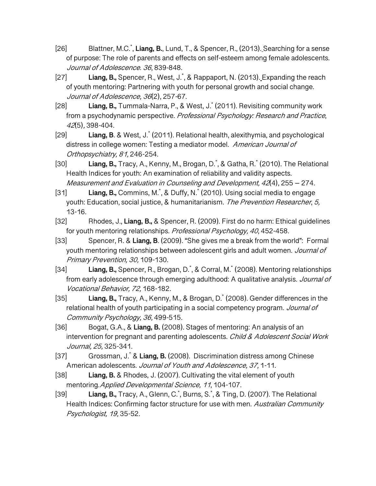- [26] Blattner, M.C.\* , **Liang, B.**, Lund, T., & Spencer, R., (2013). Searching for a sense of purpose: The role of parents and effects on self-esteem among female adolescents. Journal of Adolescence. 36, 839-848.
- [27] **Liang, B.,** Spencer, R., West, J.\* , & Rappaport, N. (2013). Expanding the reach of youth mentoring: Partnering with youth for personal growth and social change. Journal of Adolescence, 36(2), 257-67.
- [28] **Liang, B.,** Tummala-Narra, P., & West, J.\* (2011). Revisiting community work from a psychodynamic perspective. Professional Psychology: Research and Practice, <sup>42</sup>(5), 398-404.
- [29] **Liang, B**. & West, J.\* (2011). Relational health, alexithymia, and psychological distress in college women: Testing a mediator model. American Journal of Orthopsychiatry, 81, 246-254.
- [30] **Liang, B.,** Tracy, A., Kenny, M., Brogan, D.\* , & Gatha, R.\* (2010). The Relational Health Indices for youth: An examination of reliability and validity aspects. Measurement and Evaluation in Counseling and Development, 42(4), 255 – 274.
- [31] **Liang, B.,** Commins, M.\* , & Duffy, N.\* (2010). Using social media to engage youth: Education, social justice, & humanitarianism. The Prevention Researcher, 5, 13-16.
- [32] Rhodes, J., **Liang, B.,** & Spencer, R. (2009). First do no harm: Ethical guidelines for youth mentoring relationships. Professional Psychology, 40, 452-458.
- [33] Spencer, R. & **Liang, B**. (2009). "She gives me a break from the world": Formal youth mentoring relationships between adolescent girls and adult women. Journal of Primary Prevention, 30, 109-130.
- [34] **Liang, B.,** Spencer, R., Brogan, D.\* , & Corral, M.\* (2008). Mentoring relationships from early adolescence through emerging adulthood: A qualitative analysis. Journal of Vocational Behavior, 72, 168-182.
- [35] **Liang, B.,** Tracy, A., Kenny, M., & Brogan, D.\* (2008). Gender differences in the relational health of youth participating in a social competency program. Journal of Community Psychology, 36, 499-515.
- [36] Bogat, G.A., & **Liang, B.** (2008). Stages of mentoring: An analysis of an intervention for pregnant and parenting adolescents. Child & Adolescent Social Work Journal, 25, 325-341.
- [37] Grossman, J.\* & **Liang, B.** (2008). Discrimination distress among Chinese American adolescents. Journal of Youth and Adolescence, 37, 1-11.
- [38] **Liang, B.** & Rhodes, J. (2007). Cultivating the vital element of youth mentoring. Applied Developmental Science, 11, 104-107.
- [39] **Liang, B.,** Tracy, A., Glenn, C.<sup>\*</sup>, Burns, S.<sup>\*</sup>, & Ting, D. (2007). The Relational Health Indices: Confirming factor structure for use with men. Australian Community Psychologist, 19, 35-52.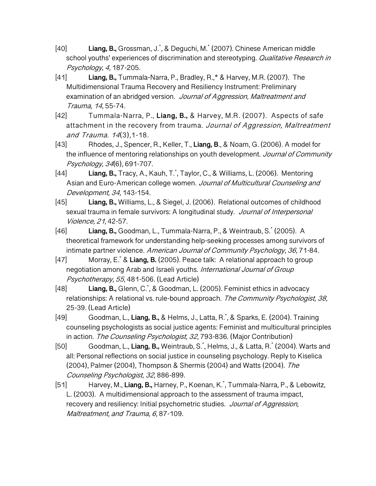- [40] **Liang, B.,** Grossman, J.\* , & Deguchi, M.\* (2007). Chinese American middle school youths' experiences of discrimination and stereotyping. Qualitative Research in Psychology, 4, 187-205.
- [41] **Liang, B.,** Tummala-Narra, P., Bradley, R.,\* & Harvey, M.R. (2007). The Multidimensional Trauma Recovery and Resiliency Instrument: Preliminary examination of an abridged version. Journal of Aggression, Maltreatment and Trauma, 14, 55-74.
- [42] Tummala-Narra, P., **Liang, B.,** & Harvey, M.R. (2007). Aspects of safe attachment in the recovery from trauma. Journal of Aggression, Maltreatment and Trauma. 14(3),1-18.
- [43] Rhodes, J., Spencer, R., Keller, T., **Liang, B**., & Noam, G. (2006). A model for the influence of mentoring relationships on youth development. Journal of Community Psychology, 34(6), 691-707.
- [44] **Liang, B.,** Tracy, A., Kauh, T.\* , Taylor, C., & Williams, L. (2006). Mentoring Asian and Euro-American college women. Journal of Multicultural Counseling and Development, 34, 143-154.
- [45] **Liang, B.,** Williams, L., & Siegel, J. (2006). Relational outcomes of childhood sexual trauma in female survivors: A longitudinal study. Journal of Interpersonal Violence, 21, 42-57.
- [46] **Liang, B.,** Goodman, L., Tummala-Narra, P., & Weintraub, S.\* (2005). A theoretical framework for understanding help-seeking processes among survivors of intimate partner violence. American Journal of Community Psychology, 36, 71-84.
- [47] Morray, E.\* & **Liang, B.** (2005). Peace talk: A relational approach to group negotiation among Arab and Israeli youths. International Journal of Group Psychotherapy, 55, 481-506. (Lead Article)
- [48] **Liang, B.,** Glenn, C.\* , & Goodman, L. (2005). Feminist ethics in advocacy relationships: A relational vs. rule-bound approach. The Community Psychologist, 38, 25-39. (Lead Article)
- [49] Goodman, L., **Liang, B.,** & Helms, J., Latta, R.\* , & Sparks, E. (2004). Training counseling psychologists as social justice agents: Feminist and multicultural principles in action. The Counseling Psychologist, 32, 793-836. (Major Contribution)
- [50] Goodman, L., **Liang, B.,** Weintraub, S.\* , Helms, J., & Latta, R.\* (2004). Warts and all: Personal reflections on social justice in counseling psychology. Reply to Kiselica (2004), Palmer (2004), Thompson & Shermis (2004) and Watts (2004). The Counseling Psychologist, 32, 886-899.
- [51] Harvey, M., **Liang, B.,** Harney, P., Koenan, K.\* , Tummala-Narra, P., & Lebowitz, L. (2003). A multidimensional approach to the assessment of trauma impact, recovery and resiliency: Initial psychometric studies. Journal of Aggression, Maltreatment, and Trauma, 6, 87-109.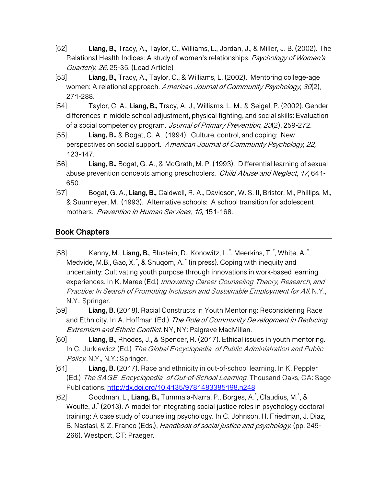- [52] **Liang, B.,** Tracy, A., Taylor, C., Williams, L., Jordan, J., & Miller, J. B. (2002). The Relational Health Indices: A study of women's relationships. Psychology of Women's Quarterly, 26, 25-35. (Lead Article)
- [53] **Liang, B.,** Tracy, A., Taylor, C., & Williams, L. (2002). Mentoring college-age women: A relational approach. American Journal of Community Psychology, 30(2), 271-288.
- [54] Taylor, C. A., **Liang, B.,** Tracy, A. J., Williams, L. M., & Seigel, P. (2002). Gender differences in middle school adjustment, physical fighting, and social skills: Evaluation of a social competency program. Journal of Primary Prevention, 23(2), 259-272.
- [55] **Liang, B.,** & Bogat, G. A. (1994). Culture, control, and coping: New perspectives on social support. American Journal of Community Psychology, 22, 123-147.
- [56] **Liang, B.,** Bogat, G. A., & McGrath, M. P. (1993). Differential learning of sexual abuse prevention concepts among preschoolers. Child Abuse and Neglect, 17,641-650.
- [57] Bogat, G. A., **Liang, B.,** Caldwell, R. A., Davidson, W. S. II, Bristor, M., Phillips, M., & Suurmeyer, M. (1993). Alternative schools: A school transition for adolescent mothers. Prevention in Human Services, 10, 151-168.

## **Book Chapters**

- [58] Kenny, M., **Liang, B.**, Blustein, D., Konowitz, L.<sup>\*</sup>, Meerkins, T.<sup>\*</sup>, White, A.<sup>\*</sup>, Medvide, M.B., Gao, X.<sup>\*</sup>, & Shuqom, A.<sup>\*</sup> (in press). Coping with inequity and uncertainty: Cultivating youth purpose through innovations in work-based learning experiences. In K. Maree (Ed.) Innovating Career Counseling Theory, Research, and Practice: In Search of Promoting Inclusion and Sustainable Employment for All. N.Y., N.Y.: Springer.
- [59] **Liang, B.** (2018). Racial Constructs in Youth Mentoring: Reconsidering Race and Ethnicity. In A. Hoffman (Ed.) The Role of Community Development in Reducing Extremism and Ethnic Conflict. NY, NY: Palgrave MacMillan.
- [60] **Liang, B.**, Rhodes, J., & Spencer, R. (2017). Ethical issues in youth mentoring. In C. Jurkiewicz (Ed.) The Global Encyclopedia of Public Administration and Public Policy. N.Y., N.Y.: Springer.
- [61] **Liang, B.** (2017). Race and ethnicity in out-of-school learning. In K. Peppler (Ed.) The SAGE Encyclopedia of Out-of-School Learning. Thousand Oaks, CA: Sage Publications. http://dx.doi.org/10.4135/9781483385198.n248
- [62] Goodman, L., **Liang, B.,** Tummala-Narra, P., Borges, A.\* , Claudius, M.\* , & Woulfe, J.\* (2013). A model for integrating social justice roles in psychology doctoral training: A case study of counseling psychology. In C. Johnson, H. Friedman, J. Diaz, B. Nastasi, & Z. Franco (Eds.), *Handbook of social justice and psychology.* (pp. 249-266). Westport, CT: Praeger.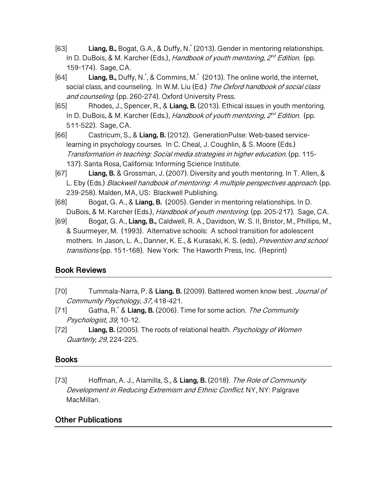- [63] **Liang, B.,** Bogat, G.A., & Duffy, N.\* (2013). Gender in mentoring relationships. In D. DuBois, & M. Karcher (Eds.), Handbook of youth mentoring,  $2^{nd}$  Edition. (pp. 159-174). Sage, CA.
- [64] **Liang, B.,** Duffy, N.\* , & Commins, M.\* (2013). The online world, the internet, social class, and counseling. In W.M. Liu (Ed.) The Oxford handbook of social class and counseling. (pp. 260-274). Oxford University Press.
- [65] Rhodes, J., Spencer, R., & **Liang, B.** (2013). Ethical issues in youth mentoring. In D. DuBois, & M. Karcher (Eds.), Handbook of youth mentoring,  $2^{nd}$  Edition. (pp. 511-522). Sage, CA.
- [66] Castricum, S., & **Liang, B.** (2012). GenerationPulse: Web-based servicelearning in psychology courses. In C. Cheal, J. Coughlin, & S. Moore (Eds.) Transformation in teaching: Social media strategies in higher education. (pp. 115- 137). Santa Rosa, California: Informing Science Institute.
- [67] **Liang, B.** & Grossman, J. (2007). Diversity and youth mentoring. In T. Allen, & L. Eby (Eds.) Blackwell handbook of mentoring: A multiple perspectives approach. (pp. 239-258). Malden, MA, US: Blackwell Publishing.
- [68] Bogat, G. A., & **Liang, B.** (2005). Gender in mentoring relationships. In D. DuBois, & M. Karcher (Eds.), *Handbook of youth mentoring*. (pp. 205-217). Sage, CA.
- [69] Bogat, G. A., **Liang, B.,** Caldwell, R. A., Davidson, W. S. II, Bristor, M., Phillips, M., & Suurmeyer, M. (1993). Alternative schools: A school transition for adolescent mothers. In Jason, L. A., Danner, K. E., & Kurasaki, K. S. (eds), *Prevention and school* transitions (pp. 151-168). New York: The Haworth Press, Inc. (Reprint)

## **Book Reviews**

- [70] Tummala-Narra, P. & **Liang, B.** (2009). Battered women know best. Journal of Community Psychology, 37, 418-421.
- [71] Gatha, R.\* & **Liang, B.** (2006). Time for some action. The Community Psychologist, 39, 10-12.
- [72] **Liang, B.** (2005). The roots of relational health. Psychology of Women Quarterly, 29, 224-225.

## **Books**

[73] Hoffman, A. J., Alamilla, S., & **Liang, B.** (2018). The Role of Community Development in Reducing Extremism and Ethnic Conflict. NY, NY: Palgrave MacMillan.

## **Other Publications**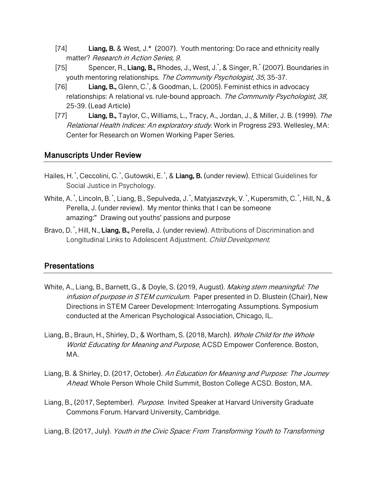- [74] **Liang, B.** & West, J.\* (2007). Youth mentoring: Do race and ethnicity really matter? Research in Action Series, 9.
- [75] Spencer, R., **Liang, B.,** Rhodes, J., West, J.\* , & Singer, R.\* (2007). Boundaries in youth mentoring relationships. The Community Psychologist, 35, 35-37.
- [76] **Liang, B.,** Glenn, C.\* , & Goodman, L. (2005). Feminist ethics in advocacy relationships: A relational vs. rule-bound approach. The Community Psychologist, 38, 25-39. (Lead Article)
- [77] **Liang, B.,** Taylor, C., Williams, L., Tracy, A., Jordan, J., & Miller, J. B. (1999). The Relational Health Indices: An exploratory study. Work in Progress 293. Wellesley, MA: Center for Research on Women Working Paper Series.

### **Manuscripts Under Review**

- Hailes, H.  $\check{\,}$ , Ceccolini, C.  $\check{\,}$ , Gutowski, E.  $\check{\,}$ , & **Liang, B.** (under review). Ethical Guidelines for Social Justice in Psychology.
- White, A.໋, Lincoln, B.໋, Liang, B., Sepulveda, J.໋, Matyjaszvzyk, V.໋, Kupersmith, C.໋, Hill, N., & Perella, J. (under review). My mentor thinks that I can be someone amazing:" Drawing out youths' passions and purpose
- Bravo, D. \* , Hill, N., **Liang, B.,** Perella, J. (under review). Attributions of Discrimination and Longitudinal Links to Adolescent Adjustment. Child Development.

## **Presentations**

- White, A., Liang, B., Barnett, G., & Doyle, S. (2019, August). Making stem meaningful: The infusion of purpose in STEM curriculum. Paper presented in D. Blustein (Chair), New Directions in STEM Career Development: Interrogating Assumptions. Symposium conducted at the American Psychological Association, Chicago, IL.
- Liang, B., Braun, H., Shirley, D., & Wortham, S. (2018, March). Whole Child for the Whole World: Educating for Meaning and Purpose, ACSD Empower Conference. Boston, MA.
- Liang, B. & Shirley, D. (2017, October). An Education for Meaning and Purpose: The Journey Ahead. Whole Person Whole Child Summit, Boston College ACSD. Boston, MA.
- Liang, B., (2017, September). Purpose. Invited Speaker at Harvard University Graduate Commons Forum. Harvard University, Cambridge.

Liang, B. (2017, July). Youth in the Civic Space: From Transforming Youth to Transforming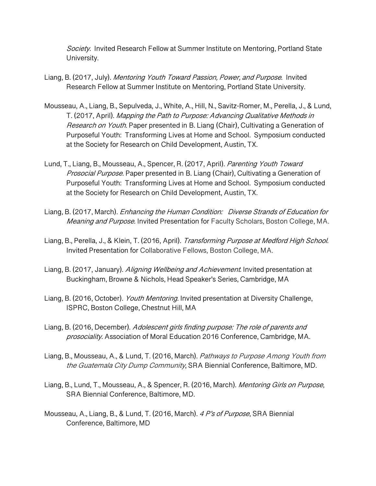Society. Invited Research Fellow at Summer Institute on Mentoring, Portland State University.

- Liang, B. (2017, July). Mentoring Youth Toward Passion, Power, and Purpose. Invited Research Fellow at Summer Institute on Mentoring, Portland State University.
- Mousseau, A., Liang, B., Sepulveda, J., White, A., Hill, N., Savitz-Romer, M., Perella, J., & Lund, T. (2017, April). Mapping the Path to Purpose: Advancing Qualitative Methods in Research on Youth. Paper presented in B. Liang (Chair), Cultivating a Generation of Purposeful Youth: Transforming Lives at Home and School. Symposium conducted at the Society for Research on Child Development, Austin, TX.
- Lund, T., Liang, B., Mousseau, A., Spencer, R. (2017, April). Parenting Youth Toward Prosocial Purpose. Paper presented in B. Liang (Chair), Cultivating a Generation of Purposeful Youth: Transforming Lives at Home and School. Symposium conducted at the Society for Research on Child Development, Austin, TX.
- Liang, B. (2017, March). Enhancing the Human Condition: Diverse Strands of Education for Meaning and Purpose. Invited Presentation for Faculty Scholars, Boston College, MA.
- Liang, B., Perella, J., & Klein, T. (2016, April). Transforming Purpose at Medford High School. Invited Presentation for Collaborative Fellows, Boston College, MA.
- Liang, B. (2017, January). Aligning Wellbeing and Achievement. Invited presentation at Buckingham, Browne & Nichols, Head Speaker's Series, Cambridge, MA
- Liang, B. (2016, October). *Youth Mentoring*. Invited presentation at Diversity Challenge, ISPRC, Boston College, Chestnut Hill, MA
- Liang, B. (2016, December). Adolescent girls finding purpose: The role of parents and prosociality. Association of Moral Education 2016 Conference, Cambridge, MA.
- Liang, B., Mousseau, A., & Lund, T. (2016, March). Pathways to Purpose Among Youth from the Guatemala City Dump Community, SRA Biennial Conference, Baltimore, MD.
- Liang, B., Lund, T., Mousseau, A., & Spencer, R. (2016, March). Mentoring Girls on Purpose, SRA Biennial Conference, Baltimore, MD.
- Mousseau, A., Liang, B., & Lund, T. (2016, March). 4 P's of Purpose, SRA Biennial Conference, Baltimore, MD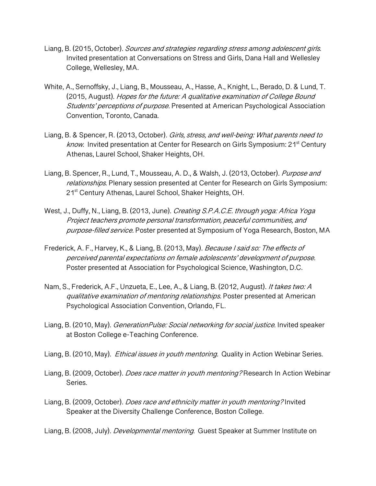- Liang, B. (2015, October). *Sources and strategies regarding stress among adolescent girls.* Invited presentation at Conversations on Stress and Girls, Dana Hall and Wellesley College, Wellesley, MA.
- White, A., Sernoffsky, J., Liang, B., Mousseau, A., Hasse, A., Knight, L., Berado, D. & Lund, T. (2015, August). Hopes for the future: A qualitative examination of College Bound Students' perceptions of purpose. Presented at American Psychological Association Convention, Toronto, Canada.
- Liang, B. & Spencer, R. (2013, October). Girls, stress, and well-being: What parents need to *know.* Invited presentation at Center for Research on Girls Symposium:  $21<sup>st</sup>$  Century Athenas, Laurel School, Shaker Heights, OH.
- Liang, B. Spencer, R., Lund, T., Mousseau, A. D., & Walsh, J. (2013, October). Purpose and relationships. Plenary session presented at Center for Research on Girls Symposium: 21<sup>st</sup> Century Athenas, Laurel School, Shaker Heights, OH.
- West, J., Duffy, N., Liang, B. (2013, June). Creating S.P.A.C.E. through yoga: Africa Yoga Project teachers promote personal transformation, peaceful communities, and purpose-filled service. Poster presented at Symposium of Yoga Research, Boston, MA
- Frederick, A. F., Harvey, K., & Liang, B. (2013, May). Because I said so: The effects of perceived parental expectations on female adolescents' development of purpose. Poster presented at Association for Psychological Science, Washington, D.C.
- Nam, S., Frederick, A.F., Unzueta, E., Lee, A., & Liang, B. (2012, August). It takes two: A qualitative examination of mentoring relationships. Poster presented at American Psychological Association Convention, Orlando, FL.
- Liang, B. (2010, May). *GenerationPulse: Social networking for social justice*. Invited speaker at Boston College e-Teaching Conference.
- Liang, B. (2010, May). *Ethical issues in youth mentoring.* Quality in Action Webinar Series.
- Liang, B. (2009, October). *Does race matter in youth mentoring?* Research In Action Webinar Series.
- Liang, B. (2009, October). Does race and ethnicity matter in youth mentoring? Invited Speaker at the Diversity Challenge Conference, Boston College.

Liang, B. (2008, July). *Developmental mentoring*. Guest Speaker at Summer Institute on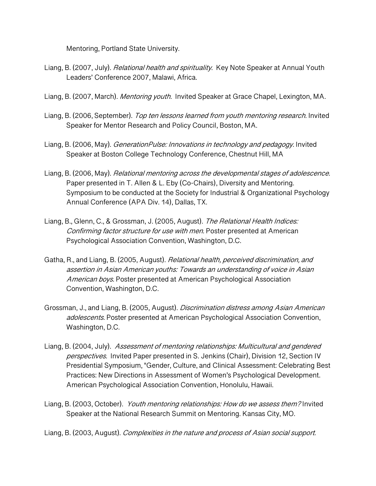Mentoring, Portland State University.

- Liang, B. (2007, July). *Relational health and spirituality*. Key Note Speaker at Annual Youth Leaders' Conference 2007, Malawi, Africa.
- Liang, B. (2007, March). Mentoring youth. Invited Speaker at Grace Chapel, Lexington, MA.
- Liang, B. (2006, September). Top ten lessons learned from youth mentoring research. Invited Speaker for Mentor Research and Policy Council, Boston, MA.
- Liang, B. (2006, May). *GenerationPulse: Innovations in technology and pedagogy.* Invited Speaker at Boston College Technology Conference, Chestnut Hill, MA
- Liang, B. (2006, May). Relational mentoring across the developmental stages of adolescence. Paper presented in T. Allen & L. Eby (Co-Chairs), Diversity and Mentoring. Symposium to be conducted at the Society for Industrial & Organizational Psychology Annual Conference (APA Div. 14), Dallas, TX.
- Liang, B., Glenn, C., & Grossman, J. (2005, August). The Relational Health Indices: Confirming factor structure for use with men. Poster presented at American Psychological Association Convention, Washington, D.C.
- Gatha, R., and Liang, B. (2005, August). Relational health, perceived discrimination, and assertion in Asian American youths: Towards an understanding of voice in Asian American boys. Poster presented at American Psychological Association Convention, Washington, D.C.
- Grossman, J., and Liang, B. (2005, August). Discrimination distress among Asian American adolescents. Poster presented at American Psychological Association Convention, Washington, D.C.
- Liang, B. (2004, July). Assessment of mentoring relationships: Multicultural and gendered perspectives. Invited Paper presented in S. Jenkins (Chair), Division 12, Section IV Presidential Symposium, "Gender, Culture, and Clinical Assessment: Celebrating Best Practices: New Directions in Assessment of Women's Psychological Development. American Psychological Association Convention, Honolulu, Hawaii.
- Liang, B. (2003, October). Youth mentoring relationships: How do we assess them? Invited Speaker at the National Research Summit on Mentoring. Kansas City, MO.
- Liang, B. (2003, August). Complexities in the nature and process of Asian social support.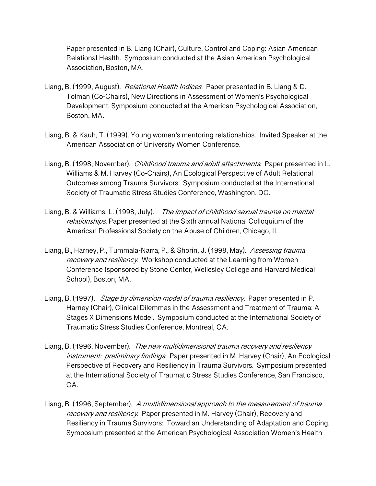Paper presented in B. Liang (Chair), Culture, Control and Coping: Asian American Relational Health. Symposium conducted at the Asian American Psychological Association, Boston, MA.

- Liang, B. (1999, August). Relational Health Indices. Paper presented in B. Liang & D. Tolman (Co-Chairs), New Directions in Assessment of Women's Psychological Development. Symposium conducted at the American Psychological Association, Boston, MA.
- Liang, B. & Kauh, T. (1999). Young women's mentoring relationships. Invited Speaker at the American Association of University Women Conference.
- Liang, B. (1998, November). *Childhood trauma and adult attachments*. Paper presented in L. Williams & M. Harvey (Co-Chairs), An Ecological Perspective of Adult Relational Outcomes among Trauma Survivors. Symposium conducted at the International Society of Traumatic Stress Studies Conference, Washington, DC.
- Liang, B. & Williams, L. (1998, July). The impact of childhood sexual trauma on marital relationships. Paper presented at the Sixth annual National Colloquium of the American Professional Society on the Abuse of Children, Chicago, IL.
- Liang, B., Harney, P., Tummala-Narra, P., & Shorin, J. (1998, May). Assessing trauma recovery and resiliency. Workshop conducted at the Learning from Women Conference (sponsored by Stone Center, Wellesley College and Harvard Medical School), Boston, MA.
- Liang, B. (1997). *Stage by dimension model of trauma resiliency*. Paper presented in P. Harney (Chair), Clinical Dilemmas in the Assessment and Treatment of Trauma: A Stages X Dimensions Model. Symposium conducted at the International Society of Traumatic Stress Studies Conference, Montreal, CA.
- Liang, B. (1996, November). The new multidimensional trauma recovery and resiliency instrument: preliminary findings. Paper presented in M. Harvey (Chair), An Ecological Perspective of Recovery and Resiliency in Trauma Survivors. Symposium presented at the International Society of Traumatic Stress Studies Conference, San Francisco, CA.
- Liang, B. (1996, September). A multidimensional approach to the measurement of trauma recovery and resiliency. Paper presented in M. Harvey (Chair), Recovery and Resiliency in Trauma Survivors: Toward an Understanding of Adaptation and Coping. Symposium presented at the American Psychological Association Women's Health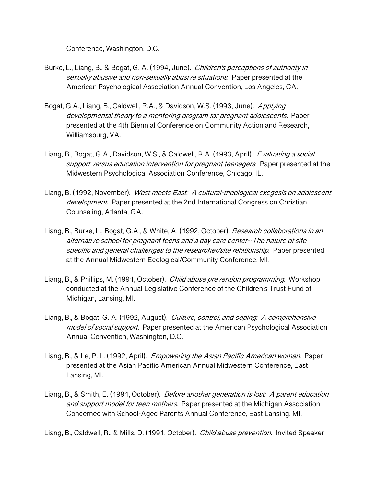Conference, Washington, D.C.

- Burke, L., Liang, B., & Bogat, G. A. (1994, June). Children's perceptions of authority in sexually abusive and non-sexually abusive situations. Paper presented at the American Psychological Association Annual Convention, Los Angeles, CA.
- Bogat, G.A., Liang, B., Caldwell, R.A., & Davidson, W.S. (1993, June). Applying developmental theory to a mentoring program for pregnant adolescents. Paper presented at the 4th Biennial Conference on Community Action and Research, Williamsburg, VA.
- Liang, B., Bogat, G.A., Davidson, W.S., & Caldwell, R.A. (1993, April). Evaluating a social support versus education intervention for pregnant teenagers. Paper presented at the Midwestern Psychological Association Conference, Chicago, IL.
- Liang, B. (1992, November). West meets East: A cultural-theological exegesis on adolescent development. Paper presented at the 2nd International Congress on Christian Counseling, Atlanta, GA.
- Liang, B., Burke, L., Bogat, G.A., & White, A. (1992, October). *Research collaborations in an* alternative school for pregnant teens and a day care center--The nature of site specific and general challenges to the researcher/site relationship. Paper presented at the Annual Midwestern Ecological/Community Conference, MI.
- Liang, B., & Phillips, M. (1991, October). *Child abuse prevention programming.* Workshop conducted at the Annual Legislative Conference of the Children's Trust Fund of Michigan, Lansing, MI.
- Liang, B., & Bogat, G. A. (1992, August). *Culture, control, and coping: A comprehensive* model of social support. Paper presented at the American Psychological Association Annual Convention, Washington, D.C.
- Liang, B., & Le, P. L. (1992, April). *Empowering the Asian Pacific American woman.* Paper presented at the Asian Pacific American Annual Midwestern Conference, East Lansing, MI.
- Liang, B., & Smith, E. (1991, October). *Before another generation is lost: A parent education* and support model for teen mothers. Paper presented at the Michigan Association Concerned with School-Aged Parents Annual Conference, East Lansing, MI.

Liang, B., Caldwell, R., & Mills, D. (1991, October). *Child abuse prevention.* Invited Speaker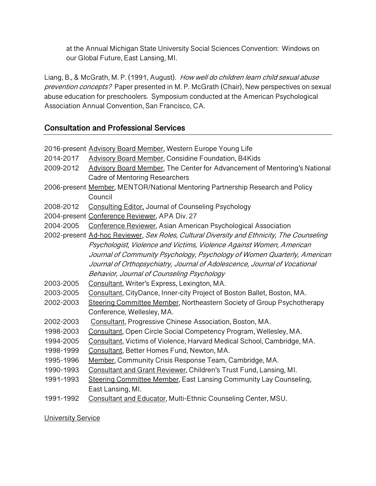at the Annual Michigan State University Social Sciences Convention: Windows on our Global Future, East Lansing, MI.

Liang, B., & McGrath, M. P. (1991, August). How well do children learn child sexual abuse prevention concepts? Paper presented in M. P. McGrath (Chair), New perspectives on sexual abuse education for preschoolers. Symposium conducted at the American Psychological Association Annual Convention, San Francisco, CA.

## **Consultation and Professional Services**

|           | 2016-present Advisory Board Member, Western Europe Young Life                             |  |  |  |
|-----------|-------------------------------------------------------------------------------------------|--|--|--|
| 2014-2017 | <b>Advisory Board Member, Considine Foundation, B4Kids</b>                                |  |  |  |
| 2009-2012 | Advisory Board Member, The Center for Advancement of Mentoring's National                 |  |  |  |
|           | Cadre of Mentoring Researchers                                                            |  |  |  |
|           | 2006-present Member, MENTOR/National Mentoring Partnership Research and Policy            |  |  |  |
|           | Council                                                                                   |  |  |  |
| 2008-2012 | Consulting Editor, Journal of Counseling Psychology                                       |  |  |  |
|           | 2004-present Conference Reviewer, APA Div. 27                                             |  |  |  |
| 2004-2005 | Conference Reviewer, Asian American Psychological Association                             |  |  |  |
|           | 2002-present Ad-hoc Reviewer, Sex Roles, Cultural Diversity and Ethnicity, The Counseling |  |  |  |
|           | Psychologist, Violence and Victims, Violence Against Women, American                      |  |  |  |
|           | Journal of Community Psychology, Psychology of Women Quarterly, American                  |  |  |  |
|           | Journal of Orthopsychiatry, Journal of Adolescence, Journal of Vocational                 |  |  |  |
|           | Behavior, Journal of Counseling Psychology                                                |  |  |  |
| 2003-2005 | Consultant, Writer's Express, Lexington, MA.                                              |  |  |  |
| 2003-2005 | Consultant, CityDance, Inner-city Project of Boston Ballet, Boston, MA.                   |  |  |  |
| 2002-2003 | Steering Committee Member, Northeastern Society of Group Psychotherapy                    |  |  |  |
|           | Conference, Wellesley, MA.                                                                |  |  |  |
| 2002-2003 | Consultant, Progressive Chinese Association, Boston, MA.                                  |  |  |  |
| 1998-2003 | Consultant, Open Circle Social Competency Program, Wellesley, MA.                         |  |  |  |
| 1994-2005 | Consultant, Victims of Violence, Harvard Medical School, Cambridge, MA.                   |  |  |  |
| 1998-1999 | Consultant, Better Homes Fund, Newton, MA.                                                |  |  |  |
| 1995-1996 | Member, Community Crisis Response Team, Cambridge, MA.                                    |  |  |  |
| 1990-1993 | Consultant and Grant Reviewer, Children's Trust Fund, Lansing, MI.                        |  |  |  |
| 1991-1993 | Steering Committee Member, East Lansing Community Lay Counseling,                         |  |  |  |
|           | East Lansing, MI.                                                                         |  |  |  |
| 1991-1992 | Consultant and Educator, Multi-Ethnic Counseling Center, MSU.                             |  |  |  |
|           |                                                                                           |  |  |  |

**University Service**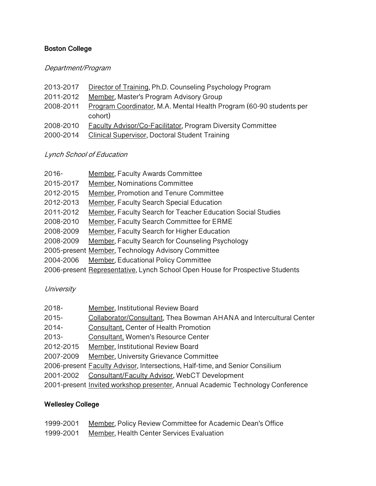#### **Boston College**

#### Department/Program

- 2013-2017 Director of Training, Ph.D. Counseling Psychology Program
- 2011-2012 Member, Master's Program Advisory Group
- 2008-2011 Program Coordinator, M.A. Mental Health Program (60-90 students per cohort)
- 2008-2010 Faculty Advisor/Co-Facilitator, Program Diversity Committee
- 2000-2014 Clinical Supervisor, Doctoral Student Training

#### Lynch School of Education

| $2016 -$  | Member, Faculty Awards Committee                                              |
|-----------|-------------------------------------------------------------------------------|
| 2015-2017 | Member, Nominations Committee                                                 |
| 2012-2015 | Member, Promotion and Tenure Committee                                        |
| 2012-2013 | <b>Member, Faculty Search Special Education</b>                               |
| 2011-2012 | Member, Faculty Search for Teacher Education Social Studies                   |
| 2008-2010 | Member, Faculty Search Committee for ERME                                     |
| 2008-2009 | Member, Faculty Search for Higher Education                                   |
| 2008-2009 | Member, Faculty Search for Counseling Psychology                              |
|           | 2005-present Member, Technology Advisory Committee                            |
| 2004-2006 | Member, Educational Policy Committee                                          |
|           | 2006-present Representative, Lynch School Open House for Prospective Students |

#### **University**

| $2018 -$  | <b>Member, Institutional Review Board</b>                                            |
|-----------|--------------------------------------------------------------------------------------|
| $2015 -$  | Collaborator/Consultant, Thea Bowman AHANA and Intercultural Center                  |
| $2014 -$  | Consultant, Center of Health Promotion                                               |
| $2013 -$  | Consultant, Women's Resource Center                                                  |
| 2012-2015 | Member, Institutional Review Board                                                   |
| 2007-2009 | <b>Member, University Grievance Committee</b>                                        |
|           | 2006-present <b>Faculty Advisor</b> , Intersections, Half-time, and Senior Consilium |
| 2001-2002 | Consultant/Faculty Advisor, WebCT Development                                        |
|           | 2001-present Invited workshop presenter, Annual Academic Technology Conference       |

#### **Wellesley College**

| 1999-2001 | Member, Policy Review Committee for Academic Dean's Office |
|-----------|------------------------------------------------------------|
| 1999-2001 | Member, Health Center Services Evaluation                  |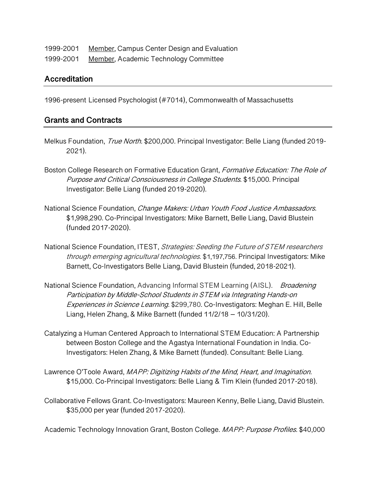| 1999-2001 | Member, Campus Center Design and Evaluation |
|-----------|---------------------------------------------|
| 1999-2001 | Member, Academic Technology Committee       |

#### **Accreditation**

1996-present Licensed Psychologist (#7014), Commonwealth of Massachusetts

#### **Grants and Contracts**

- Melkus Foundation, True North. \$200,000. Principal Investigator: Belle Liang (funded 2019-2021).
- Boston College Research on Formative Education Grant, Formative Education: The Role of Purpose and Critical Consciousness in College Students. \$15,000. Principal Investigator: Belle Liang (funded 2019-2020).
- National Science Foundation, Change Makers: Urban Youth Food Justice Ambassadors. \$1,998,290. Co-Principal Investigators: Mike Barnett, Belle Liang, David Blustein (funded 2017-2020).
- National Science Foundation, ITEST, Strategies: Seeding the Future of STEM researchers through emerging agricultural technologies. \$1,197,756. Principal Investigators: Mike Barnett, Co-Investigators Belle Liang, David Blustein (funded, 2018-2021).
- National Science Foundation, Advancing Informal STEM Learning (AISL). Broadening Participation by Middle-School Students in STEM via Integrating Hands-on Experiences in Science Learning. \$299,780. Co-Investigators: Meghan E. Hill, Belle Liang, Helen Zhang, & Mike Barnett (funded 11/2/18 – 10/31/20).
- Catalyzing a Human Centered Approach to International STEM Education: A Partnership between Boston College and the Agastya International Foundation in India. Co-Investigators: Helen Zhang, & Mike Barnett (funded). Consultant: Belle Liang.
- Lawrence O'Toole Award, MAPP: Digitizing Habits of the Mind, Heart, and Imagination. \$15,000. Co-Principal Investigators: Belle Liang & Tim Klein (funded 2017-2018).
- Collaborative Fellows Grant. Co-Investigators: Maureen Kenny, Belle Liang, David Blustein. \$35,000 per year (funded 2017-2020).

Academic Technology Innovation Grant, Boston College. MAPP: Purpose Profiles. \$40,000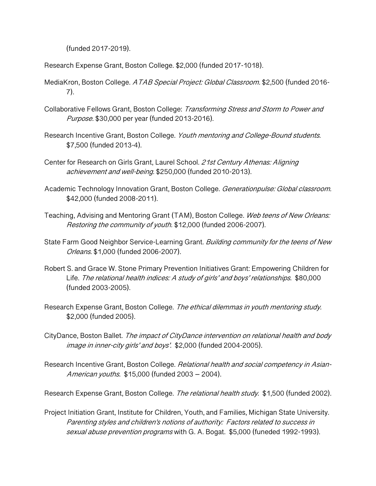(funded 2017-2019).

Research Expense Grant, Boston College. \$2,000 (funded 2017-1018).

- MediaKron, Boston College. ATAB Special Project: Global Classroom. \$2,500 (funded 2016-7).
- Collaborative Fellows Grant, Boston College: Transforming Stress and Storm to Power and Purpose. \$30,000 per year (funded 2013-2016).
- Research Incentive Grant, Boston College. Youth mentoring and College-Bound students. \$7,500 (funded 2013-4).
- Center for Research on Girls Grant, Laurel School. 21st Century Athenas: Aligning achievement and well-being. \$250,000 (funded 2010-2013).
- Academic Technology Innovation Grant, Boston College. Generationpulse: Global classroom. \$42,000 (funded 2008-2011).
- Teaching, Advising and Mentoring Grant (TAM), Boston College. Web teens of New Orleans: Restoring the community of youth. \$12,000 (funded 2006-2007).
- State Farm Good Neighbor Service-Learning Grant. Building community for the teens of New Orleans. \$1,000 (funded 2006-2007).
- Robert S. and Grace W. Stone Primary Prevention Initiatives Grant: Empowering Children for Life. The relational health indices: A study of girls' and boys' relationships. \$80,000 (funded 2003-2005).
- Research Expense Grant, Boston College. The ethical dilemmas in youth mentoring study. \$2,000 (funded 2005).
- CityDance, Boston Ballet. The impact of CityDance intervention on relational health and body image in inner-city girls' and boys'. \$2,000 (funded 2004-2005).
- Research Incentive Grant, Boston College. Relational health and social competency in Asian-American youths. \$15,000 (funded 2003 – 2004).

Research Expense Grant, Boston College. The relational health study. \$1,500 (funded 2002).

Project Initiation Grant, Institute for Children, Youth, and Families, Michigan State University. Parenting styles and children's notions of authority: Factors related to success in sexual abuse prevention programs with G. A. Bogat. \$5,000 (funeded 1992-1993).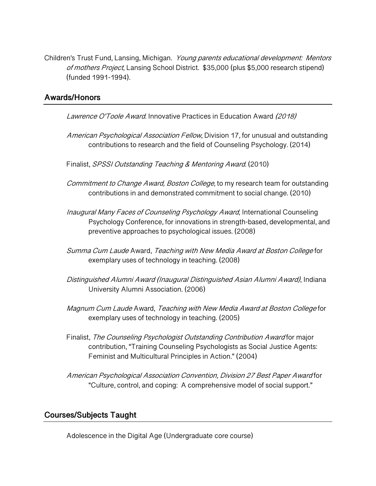Children's Trust Fund, Lansing, Michigan. Young parents educational development: Mentors of mothers Project, Lansing School District. \$35,000 (plus \$5,000 research stipend) (funded 1991-1994).

#### **Awards/Honors**

Lawrence O'Toole Award. Innovative Practices in Education Award (2018)

- American Psychological Association Fellow, Division 17, for unusual and outstanding contributions to research and the field of Counseling Psychology. (2014)
- Finalist, SPSSI Outstanding Teaching & Mentoring Award. (2010)
- Commitment to Change Award, Boston College, to my research team for outstanding contributions in and demonstrated commitment to social change. (2010)
- Inaugural Many Faces of Counseling Psychology Award, International Counseling Psychology Conference, for innovations in strength-based, developmental, and preventive approaches to psychological issues. (2008)
- Summa Cum Laude Award, Teaching with New Media Award at Boston College for exemplary uses of technology in teaching. (2008)
- Distinguished Alumni Award (Inaugural Distinguished Asian Alumni Award), Indiana University Alumni Association. (2006)
- Magnum Cum Laude Award, Teaching with New Media Award at Boston College for exemplary uses of technology in teaching. (2005)
- Finalist, The Counseling Psychologist Outstanding Contribution Award for major contribution, "Training Counseling Psychologists as Social Justice Agents: Feminist and Multicultural Principles in Action." (2004)
- American Psychological Association Convention, Division 27 Best Paper Award for "Culture, control, and coping: A comprehensive model of social support."

#### **Courses/Subjects Taught**

Adolescence in the Digital Age (Undergraduate core course)